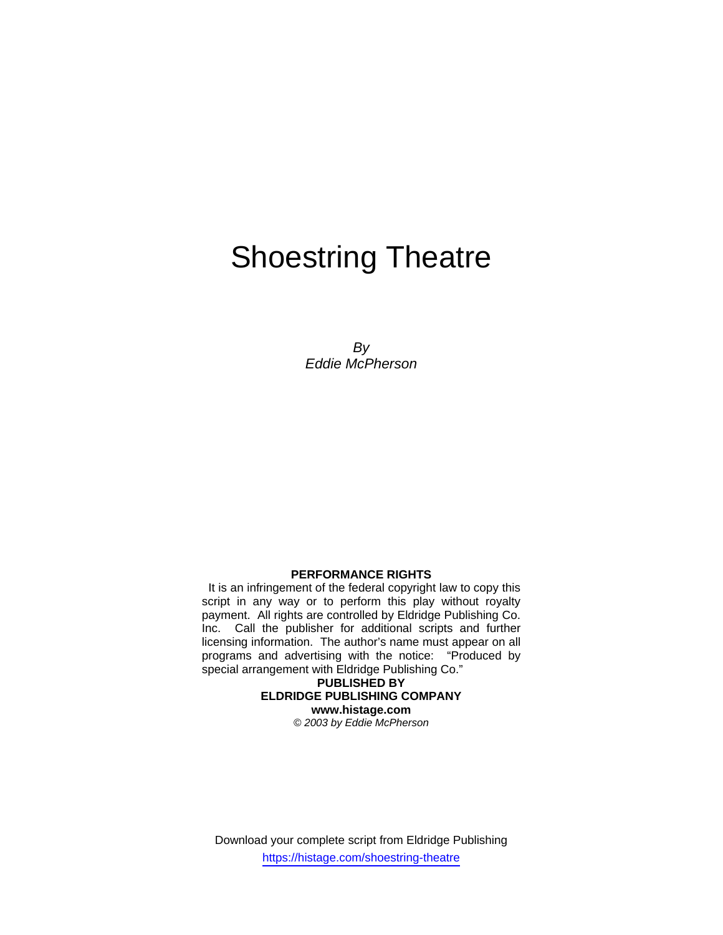# Shoestring Theatre

*By Eddie McPherson* 

#### **PERFORMANCE RIGHTS**

 It is an infringement of the federal copyright law to copy this script in any way or to perform this play without royalty payment. All rights are controlled by Eldridge Publishing Co. Inc. Call the publisher for additional scripts and further licensing information. The author's name must appear on all programs and advertising with the notice: "Produced by special arrangement with Eldridge Publishing Co."

> **PUBLISHED BY ELDRIDGE PUBLISHING COMPANY www.histage.com**  *© 2003 by Eddie McPherson*

Download your complete script from Eldridge Publishing https://histage.com/shoestring-theatre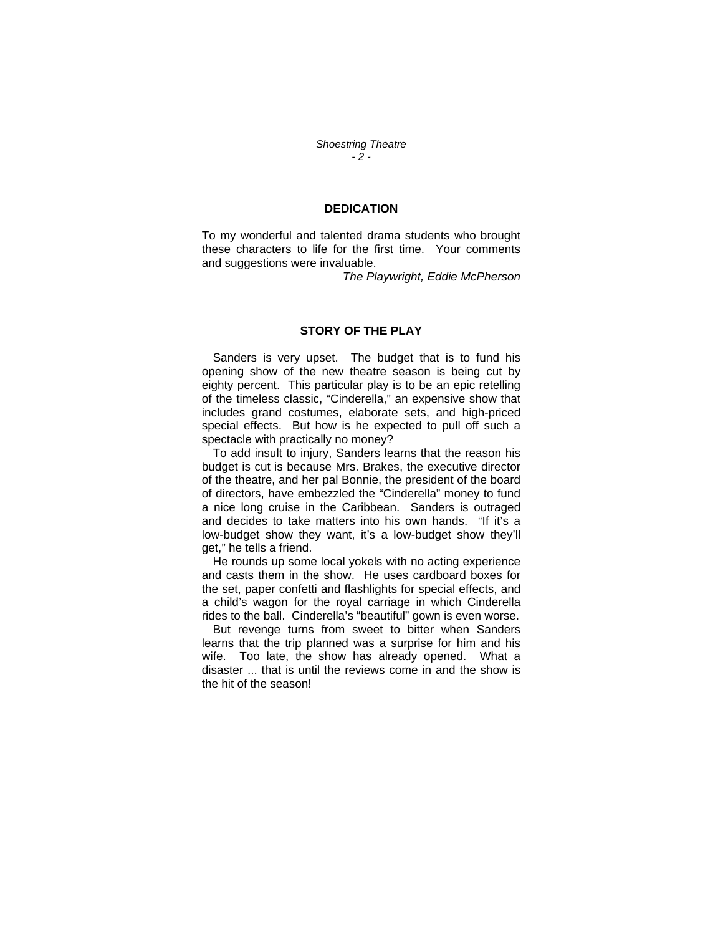*Shoestring Theatre - 2 -* 

#### **DEDICATION**

To my wonderful and talented drama students who brought these characters to life for the first time. Your comments and suggestions were invaluable.

*The Playwright, Eddie McPherson* 

### **STORY OF THE PLAY**

Sanders is very upset. The budget that is to fund his opening show of the new theatre season is being cut by eighty percent. This particular play is to be an epic retelling of the timeless classic, "Cinderella," an expensive show that includes grand costumes, elaborate sets, and high-priced special effects. But how is he expected to pull off such a spectacle with practically no money?

To add insult to injury, Sanders learns that the reason his budget is cut is because Mrs. Brakes, the executive director of the theatre, and her pal Bonnie, the president of the board of directors, have embezzled the "Cinderella" money to fund a nice long cruise in the Caribbean. Sanders is outraged and decides to take matters into his own hands. "If it's a low-budget show they want, it's a low-budget show they'll get," he tells a friend.

He rounds up some local yokels with no acting experience and casts them in the show. He uses cardboard boxes for the set, paper confetti and flashlights for special effects, and a child's wagon for the royal carriage in which Cinderella rides to the ball. Cinderella's "beautiful" gown is even worse.

But revenge turns from sweet to bitter when Sanders learns that the trip planned was a surprise for him and his wife. Too late, the show has already opened. What a disaster ... that is until the reviews come in and the show is the hit of the season!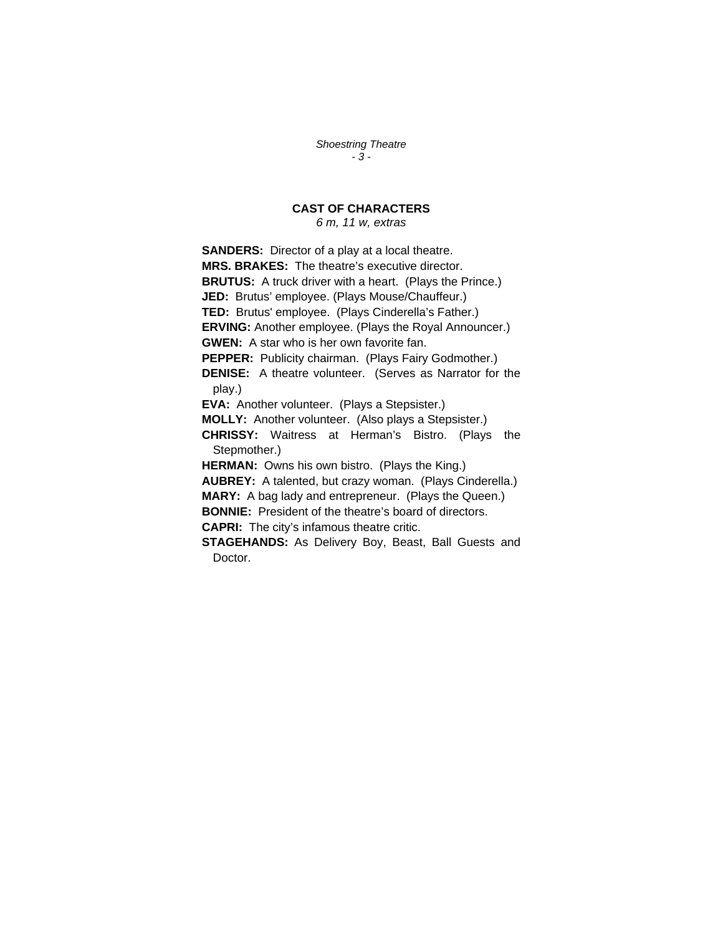*Shoestring Theatre - 3 -* 

## **CAST OF CHARACTERS**

*6 m, 11 w, extras*

**SANDERS:** Director of a play at a local theatre. **MRS. BRAKES:** The theatre's executive director. **BRUTUS:** A truck driver with a heart. (Plays the Prince.) **JED:** Brutus' employee. (Plays Mouse/Chauffeur.) **TED:** Brutus' employee. (Plays Cinderella's Father.) **ERVING:** Another employee. (Plays the Royal Announcer.) **GWEN:** A star who is her own favorite fan. **PEPPER:** Publicity chairman. (Plays Fairy Godmother.) **DENISE:** A theatre volunteer. (Serves as Narrator for the play.) **EVA:** Another volunteer. (Plays a Stepsister.) **MOLLY:** Another volunteer. (Also plays a Stepsister.) **CHRISSY:** Waitress at Herman's Bistro. (Plays the Stepmother.) **HERMAN:** Owns his own bistro. (Plays the King.) **AUBREY:** A talented, but crazy woman. (Plays Cinderella.) **MARY:** A bag lady and entrepreneur. (Plays the Queen.) **BONNIE:** President of the theatre's board of directors. **CAPRI:** The city's infamous theatre critic. **STAGEHANDS:** As Delivery Boy, Beast, Ball Guests and Doctor.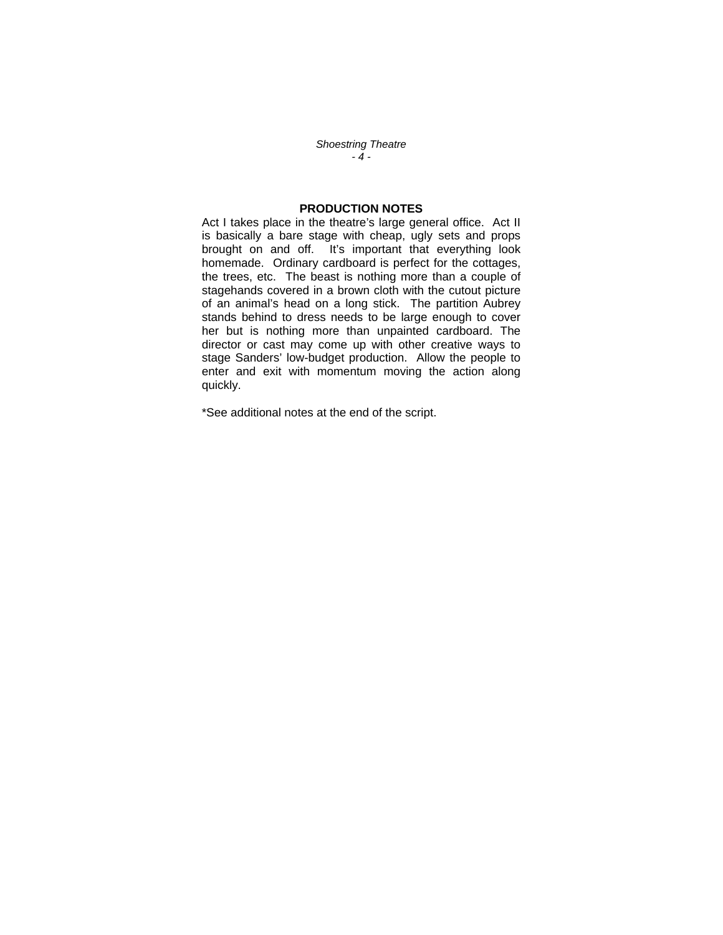*Shoestring Theatre - 4 -* 

## **PRODUCTION NOTES**

Act I takes place in the theatre's large general office. Act II is basically a bare stage with cheap, ugly sets and props brought on and off. It's important that everything look homemade. Ordinary cardboard is perfect for the cottages, the trees, etc. The beast is nothing more than a couple of stagehands covered in a brown cloth with the cutout picture of an animal's head on a long stick. The partition Aubrey stands behind to dress needs to be large enough to cover her but is nothing more than unpainted cardboard. The director or cast may come up with other creative ways to stage Sanders' low-budget production. Allow the people to enter and exit with momentum moving the action along quickly.

\*See additional notes at the end of the script.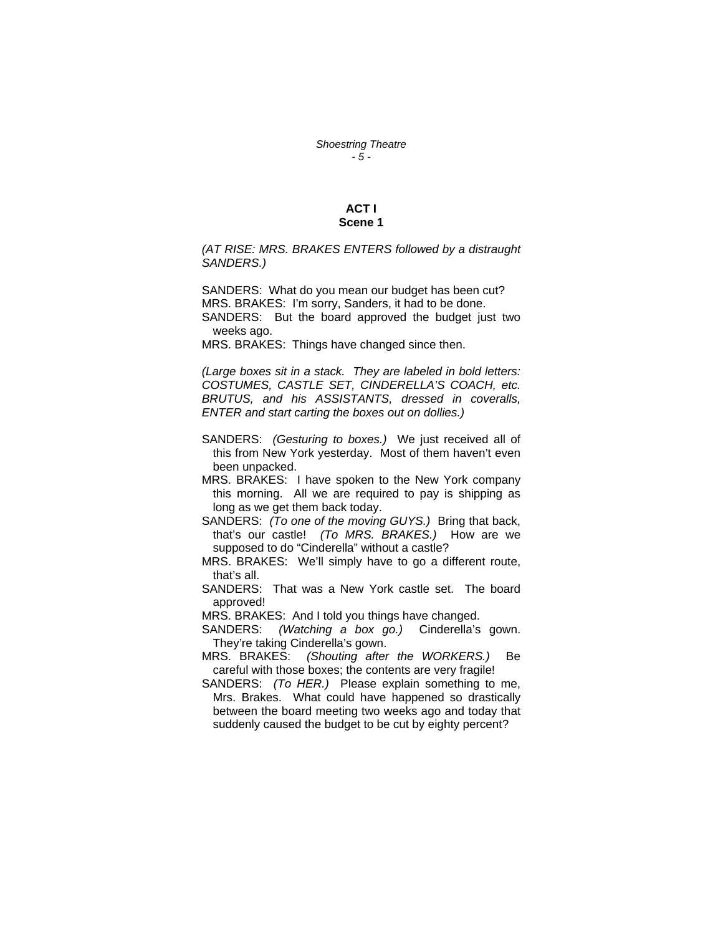## **ACT I Scene 1**

*(AT RISE: MRS. BRAKES ENTERS followed by a distraught SANDERS.)* 

SANDERS: What do you mean our budget has been cut? MRS. BRAKES: I'm sorry, Sanders, it had to be done. SANDERS: But the board approved the budget just two weeks ago.

MRS. BRAKES: Things have changed since then.

*(Large boxes sit in a stack. They are labeled in bold letters: COSTUMES, CASTLE SET, CINDERELLA'S COACH, etc. BRUTUS, and his ASSISTANTS, dressed in coveralls, ENTER and start carting the boxes out on dollies.)* 

- SANDERS: *(Gesturing to boxes.)* We just received all of this from New York yesterday. Most of them haven't even been unpacked.
- MRS. BRAKES: I have spoken to the New York company this morning. All we are required to pay is shipping as long as we get them back today.
- SANDERS: *(To one of the moving GUYS.)* Bring that back, that's our castle! *(To MRS. BRAKES.)* How are we supposed to do "Cinderella" without a castle?
- MRS. BRAKES: We'll simply have to go a different route, that's all.
- SANDERS: That was a New York castle set. The board approved!
- MRS. BRAKES: And I told you things have changed.
- SANDERS: *(Watching a box go.)* Cinderella's gown. They're taking Cinderella's gown.
- MRS. BRAKES: *(Shouting after the WORKERS.)* Be careful with those boxes; the contents are very fragile!
- SANDERS: *(To HER.)* Please explain something to me, Mrs. Brakes. What could have happened so drastically between the board meeting two weeks ago and today that suddenly caused the budget to be cut by eighty percent?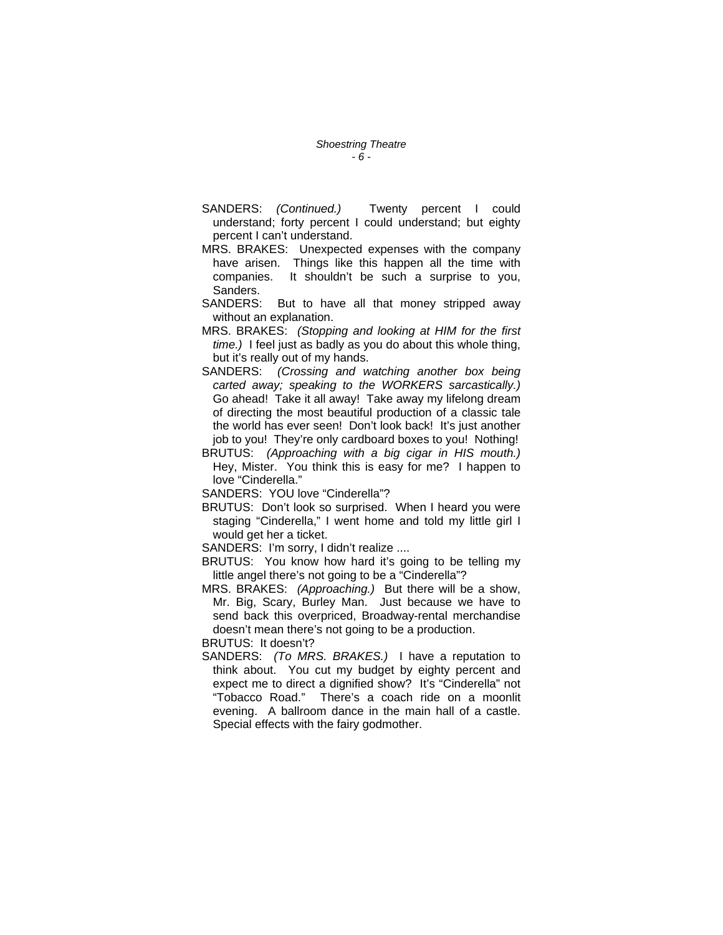- SANDERS: *(Continued.)* Twenty percent I could understand; forty percent I could understand; but eighty percent I can't understand.
- MRS. BRAKES: Unexpected expenses with the company have arisen. Things like this happen all the time with companies. It shouldn't be such a surprise to you, Sanders.
- SANDERS: But to have all that money stripped away without an explanation.
- MRS. BRAKES: *(Stopping and looking at HIM for the first time.)* I feel just as badly as you do about this whole thing, but it's really out of my hands.
- SANDERS: *(Crossing and watching another box being carted away; speaking to the WORKERS sarcastically.)*  Go ahead! Take it all away! Take away my lifelong dream of directing the most beautiful production of a classic tale the world has ever seen! Don't look back! It's just another job to you! They're only cardboard boxes to you! Nothing!
- BRUTUS: *(Approaching with a big cigar in HIS mouth.)* Hey, Mister. You think this is easy for me? I happen to love "Cinderella."

SANDERS: YOU love "Cinderella"?

BRUTUS: Don't look so surprised. When I heard you were staging "Cinderella," I went home and told my little girl I would get her a ticket.

SANDERS: I'm sorry, I didn't realize ....

- BRUTUS: You know how hard it's going to be telling my little angel there's not going to be a "Cinderella"?
- MRS. BRAKES: *(Approaching.)* But there will be a show, Mr. Big, Scary, Burley Man. Just because we have to send back this overpriced, Broadway-rental merchandise doesn't mean there's not going to be a production.

BRUTUS: It doesn't?

SANDERS: *(To MRS. BRAKES.)* I have a reputation to think about. You cut my budget by eighty percent and expect me to direct a dignified show? It's "Cinderella" not "Tobacco Road." There's a coach ride on a moonlit evening. A ballroom dance in the main hall of a castle. Special effects with the fairy godmother.